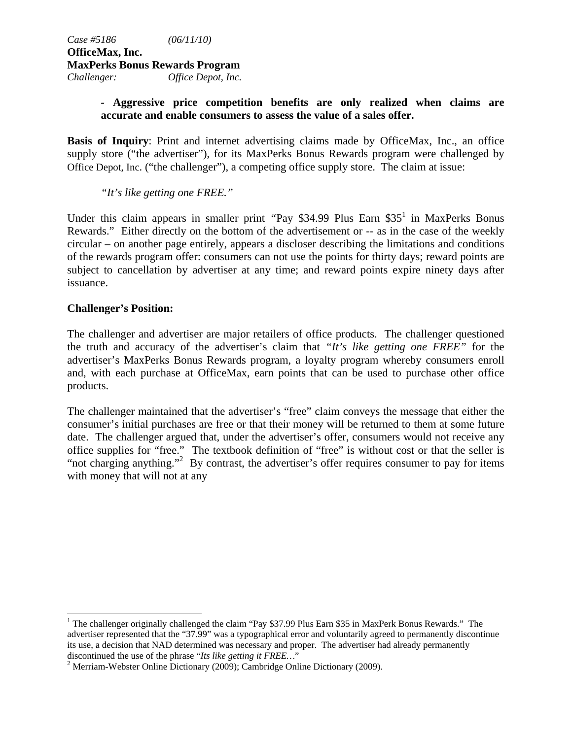# *-* **Aggressive price competition benefits are only realized when claims are accurate and enable consumers to assess the value of a sales offer.**

**Basis of Inquiry**: Print and internet advertising claims made by OfficeMax, Inc., an office supply store ("the advertiser"), for its MaxPerks Bonus Rewards program were challenged by Office Depot, Inc. ("the challenger"), a competing office supply store. The claim at issue:

*"It's like getting one FREE."* 

Under this claim appears in smaller print "Pay \$34.99 Plus Earn \$35<sup>1</sup> in MaxPerks Bonus Rewards." Either directly on the bottom of the advertisement or -- as in the case of the weekly circular – on another page entirely, appears a discloser describing the limitations and conditions of the rewards program offer: consumers can not use the points for thirty days; reward points are subject to cancellation by advertiser at any time; and reward points expire ninety days after issuance.

### **Challenger's Position:**

 $\overline{a}$ 

The challenger and advertiser are major retailers of office products. The challenger questioned the truth and accuracy of the advertiser's claim that *"It's like getting one FREE"* for the advertiser's MaxPerks Bonus Rewards program, a loyalty program whereby consumers enroll and, with each purchase at OfficeMax, earn points that can be used to purchase other office products.

The challenger maintained that the advertiser's "free" claim conveys the message that either the consumer's initial purchases are free or that their money will be returned to them at some future date. The challenger argued that, under the advertiser's offer, consumers would not receive any office supplies for "free." The textbook definition of "free" is without cost or that the seller is "not charging anything."<sup>2</sup> By contrast, the advertiser's offer requires consumer to pay for items with money that will not at any

<sup>&</sup>lt;sup>1</sup> The challenger originally challenged the claim "Pay \$37.99 Plus Earn \$35 in MaxPerk Bonus Rewards." The advertiser represented that the "37.99" was a typographical error and voluntarily agreed to permanently discontinue its use, a decision that NAD determined was necessary and proper. The advertiser had already permanently discontinued the use of the phrase "*Its like getting it FREE…*" 2

<sup>&</sup>lt;sup>2</sup> Merriam-Webster Online Dictionary (2009); Cambridge Online Dictionary (2009).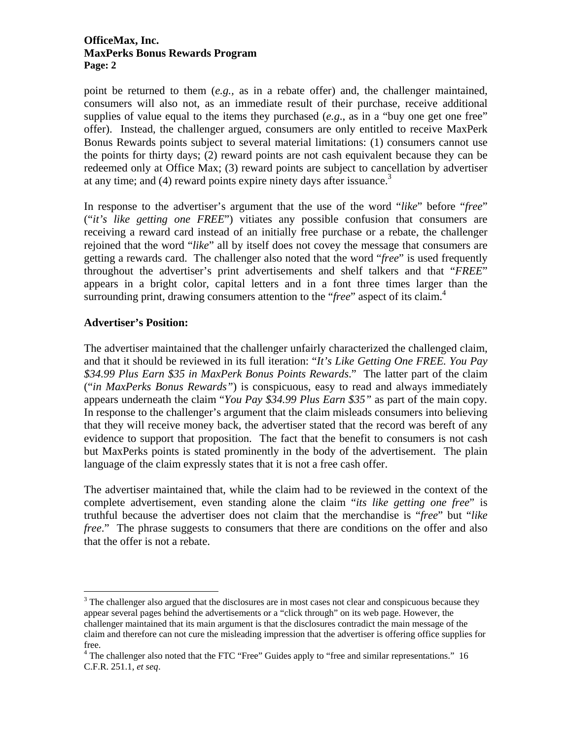#### **OfficeMax, Inc. MaxPerks Bonus Rewards Program Page: 2**

point be returned to them (*e.g.,* as in a rebate offer) and, the challenger maintained, consumers will also not, as an immediate result of their purchase, receive additional supplies of value equal to the items they purchased (*e.g*., as in a "buy one get one free" offer). Instead, the challenger argued, consumers are only entitled to receive MaxPerk Bonus Rewards points subject to several material limitations: (1) consumers cannot use the points for thirty days; (2) reward points are not cash equivalent because they can be redeemed only at Office Max; (3) reward points are subject to cancellation by advertiser at any time; and  $(4)$  reward points expire ninety days after issuance.<sup>3</sup>

In response to the advertiser's argument that the use of the word "*like*" before "*free*" ("*it's like getting one FREE*") vitiates any possible confusion that consumers are receiving a reward card instead of an initially free purchase or a rebate, the challenger rejoined that the word "*like*" all by itself does not covey the message that consumers are getting a rewards card. The challenger also noted that the word "*free*" is used frequently throughout the advertiser's print advertisements and shelf talkers and that "*FREE*" appears in a bright color, capital letters and in a font three times larger than the surrounding print, drawing consumers attention to the "*free*" aspect of its claim.4

## **Advertiser's Position:**

 $\overline{a}$ 

The advertiser maintained that the challenger unfairly characterized the challenged claim, and that it should be reviewed in its full iteration: "*It's Like Getting One FREE. You Pay \$34.99 Plus Earn \$35 in MaxPerk Bonus Points Rewards*." The latter part of the claim ("*in MaxPerks Bonus Rewards"*) is conspicuous, easy to read and always immediately appears underneath the claim "*You Pay \$34.99 Plus Earn \$35"* as part of the main copy*.* In response to the challenger's argument that the claim misleads consumers into believing that they will receive money back, the advertiser stated that the record was bereft of any evidence to support that proposition. The fact that the benefit to consumers is not cash but MaxPerks points is stated prominently in the body of the advertisement. The plain language of the claim expressly states that it is not a free cash offer.

The advertiser maintained that, while the claim had to be reviewed in the context of the complete advertisement, even standing alone the claim "*its like getting one free*" is truthful because the advertiser does not claim that the merchandise is "*free*" but "*like free.*" The phrase suggests to consumers that there are conditions on the offer and also that the offer is not a rebate.

 $3$  The challenger also argued that the disclosures are in most cases not clear and conspicuous because they appear several pages behind the advertisements or a "click through" on its web page. However, the challenger maintained that its main argument is that the disclosures contradict the main message of the claim and therefore can not cure the misleading impression that the advertiser is offering office supplies for free.

<sup>&</sup>lt;sup>4</sup> The challenger also noted that the FTC "Free" Guides apply to "free and similar representations." 16 C.F.R. 251.1, *et seq*.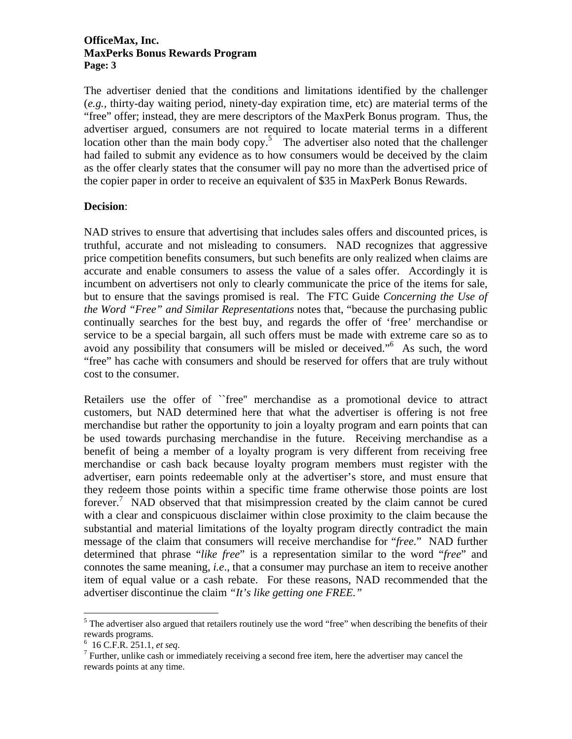#### **OfficeMax, Inc. MaxPerks Bonus Rewards Program Page: 3**

The advertiser denied that the conditions and limitations identified by the challenger (*e.g.,* thirty-day waiting period, ninety-day expiration time, etc) are material terms of the "free" offer; instead, they are mere descriptors of the MaxPerk Bonus program. Thus, the advertiser argued, consumers are not required to locate material terms in a different location other than the main body copy.<sup>5</sup> The advertiser also noted that the challenger had failed to submit any evidence as to how consumers would be deceived by the claim as the offer clearly states that the consumer will pay no more than the advertised price of the copier paper in order to receive an equivalent of \$35 in MaxPerk Bonus Rewards.

### **Decision**:

NAD strives to ensure that advertising that includes sales offers and discounted prices, is truthful, accurate and not misleading to consumers. NAD recognizes that aggressive price competition benefits consumers, but such benefits are only realized when claims are accurate and enable consumers to assess the value of a sales offer. Accordingly it is incumbent on advertisers not only to clearly communicate the price of the items for sale, but to ensure that the savings promised is real. The FTC Guide *Concerning the Use of the Word "Free" and Similar Representations* notes that, "because the purchasing public continually searches for the best buy, and regards the offer of 'free' merchandise or service to be a special bargain, all such offers must be made with extreme care so as to avoid any possibility that consumers will be misled or deceived."6 As such, the word "free" has cache with consumers and should be reserved for offers that are truly without cost to the consumer.

Retailers use the offer of ``free'' merchandise as a promotional device to attract customers, but NAD determined here that what the advertiser is offering is not free merchandise but rather the opportunity to join a loyalty program and earn points that can be used towards purchasing merchandise in the future. Receiving merchandise as a benefit of being a member of a loyalty program is very different from receiving free merchandise or cash back because loyalty program members must register with the advertiser, earn points redeemable only at the advertiser's store, and must ensure that they redeem those points within a specific time frame otherwise those points are lost forever.<sup>7</sup> NAD observed that that misimpression created by the claim cannot be cured with a clear and conspicuous disclaimer within close proximity to the claim because the substantial and material limitations of the loyalty program directly contradict the main message of the claim that consumers will receive merchandise for "*free.*" NAD further determined that phrase "*like free*" is a representation similar to the word "*free*" and connotes the same meaning, *i.e*., that a consumer may purchase an item to receive another item of equal value or a cash rebate. For these reasons, NAD recommended that the advertiser discontinue the claim *"It's like getting one FREE."* 

 $\overline{a}$ 

 $<sup>5</sup>$  The advertiser also argued that retailers routinely use the word "free" when describing the benefits of their</sup> rewards programs.

 $^{6}$  16 C.F.R. 251.1, *et seq.* 

 $\frac{7}{1}$  Further, unlike cash or immediately receiving a second free item, here the advertiser may cancel the rewards points at any time.